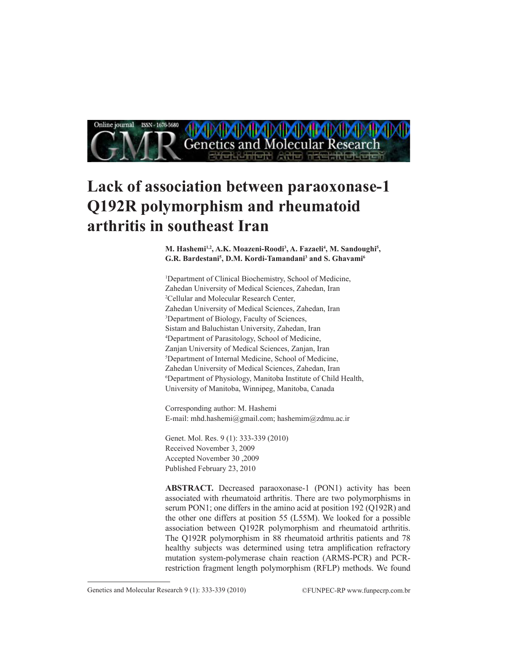

# **Lack of association between paraoxonase-1 Q192R polymorphism and rheumatoid arthritis in southeast Iran**

M. Hashemi<sup>1,2</sup>, A.K. Moazeni-Roodi<sup>3</sup>, A. Fazaeli<sup>4</sup>, M. Sandoughi<sup>5</sup>, **G.R. Bardestani5 , D.M. Kordi-Tamandani3 and S. Ghavami6**

1 Department of Clinical Biochemistry, School of Medicine, Zahedan University of Medical Sciences, Zahedan, Iran 2 Cellular and Molecular Research Center, Zahedan University of Medical Sciences, Zahedan, Iran 3 Department of Biology, Faculty of Sciences, Sistam and Baluchistan University, Zahedan, Iran 4 Department of Parasitology, School of Medicine, Zanjan University of Medical Sciences, Zanjan, Iran 5 Department of Internal Medicine, School of Medicine, Zahedan University of Medical Sciences, Zahedan, Iran 6 Department of Physiology, Manitoba Institute of Child Health, University of Manitoba, Winnipeg, Manitoba, Canada

Corresponding author: M. Hashemi E-mail: mhd.hashemi@gmail.com; hashemim@zdmu.ac.ir

Genet. Mol. Res. 9 (1): 333-339 (2010) Received November 3, 2009 Accepted November 30 ,2009 Published February 23, 2010

**ABSTRACT.** Decreased paraoxonase-1 (PON1) activity has been associated with rheumatoid arthritis. There are two polymorphisms in serum PON1; one differs in the amino acid at position 192 (Q192R) and the other one differs at position 55 (L55M). We looked for a possible association between Q192R polymorphism and rheumatoid arthritis. The Q192R polymorphism in 88 rheumatoid arthritis patients and 78 healthy subjects was determined using tetra amplification refractory mutation system-polymerase chain reaction (ARMS-PCR) and PCRrestriction fragment length polymorphism (RFLP) methods. We found

Genetics and Molecular Research 9 (1): 333-339 (2010) ©FUNPEC-RP www.funpecrp.com.br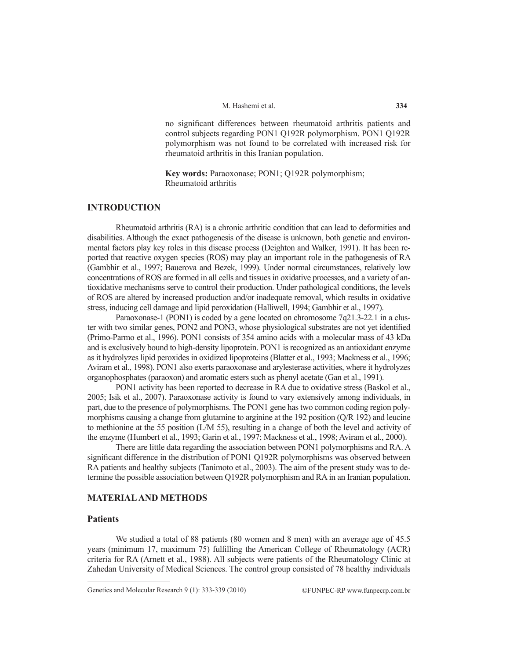no significant differences between rheumatoid arthritis patients and control subjects regarding PON1 Q192R polymorphism. PON1 Q192R polymorphism was not found to be correlated with increased risk for rheumatoid arthritis in this Iranian population.

**Key words:** Paraoxonase; PON1; Q192R polymorphism; Rheumatoid arthritis

# **INTRODUCTION**

Rheumatoid arthritis (RA) is a chronic arthritic condition that can lead to deformities and disabilities. Although the exact pathogenesis of the disease is unknown, both genetic and environmental factors play key roles in this disease process (Deighton and Walker, 1991). It has been reported that reactive oxygen species (ROS) may play an important role in the pathogenesis of RA (Gambhir et al., 1997; Bauerova and Bezek, 1999). Under normal circumstances, relatively low concentrations of ROS are formed in all cells and tissues in oxidative processes, and a variety of antioxidative mechanisms serve to control their production. Under pathological conditions, the levels of ROS are altered by increased production and/or inadequate removal, which results in oxidative stress, inducing cell damage and lipid peroxidation (Halliwell, 1994; Gambhir et al., 1997).

Paraoxonase-1 (PON1) is coded by a gene located on chromosome 7q21.3-22.1 in a cluster with two similar genes, PON2 and PON3, whose physiological substrates are not yet identified (Primo-Parmo et al., 1996). PON1 consists of 354 amino acids with a molecular mass of 43 kDa and is exclusively bound to high-density lipoprotein. PON1 is recognized as an antioxidant enzyme as it hydrolyzes lipid peroxides in oxidized lipoproteins (Blatter et al., 1993; Mackness et al., 1996; Aviram et al., 1998). PON1 also exerts paraoxonase and arylesterase activities, where it hydrolyzes organophosphates (paraoxon) and aromatic esters such as phenyl acetate (Gan et al., 1991).

PON1 activity has been reported to decrease in RA due to oxidative stress (Baskol et al., 2005; Isik et al., 2007). Paraoxonase activity is found to vary extensively among individuals, in part, due to the presence of polymorphisms. The PON1 gene has two common coding region polymorphisms causing a change from glutamine to arginine at the 192 position (Q/R 192) and leucine to methionine at the 55 position (L/M 55), resulting in a change of both the level and activity of the enzyme (Humbert et al., 1993; Garin et al., 1997; Mackness et al., 1998; Aviram et al., 2000).

There are little data regarding the association between PON1 polymorphisms and RA. A significant difference in the distribution of PON1 Q192R polymorphisms was observed between RA patients and healthy subjects (Tanimoto et al., 2003). The aim of the present study was to determine the possible association between Q192R polymorphism and RA in an Iranian population.

## **MATERIAL AND METHODS**

# **Patients**

We studied a total of 88 patients (80 women and 8 men) with an average age of 45.5 years (minimum 17, maximum 75) fulfilling the American College of Rheumatology (ACR) criteria for RA (Arnett et al., 1988). All subjects were patients of the Rheumatology Clinic at Zahedan University of Medical Sciences. The control group consisted of 78 healthy individuals

Genetics and Molecular Research 9 (1): 333-339 (2010) ©FUNPEC-RP www.funpecrp.com.br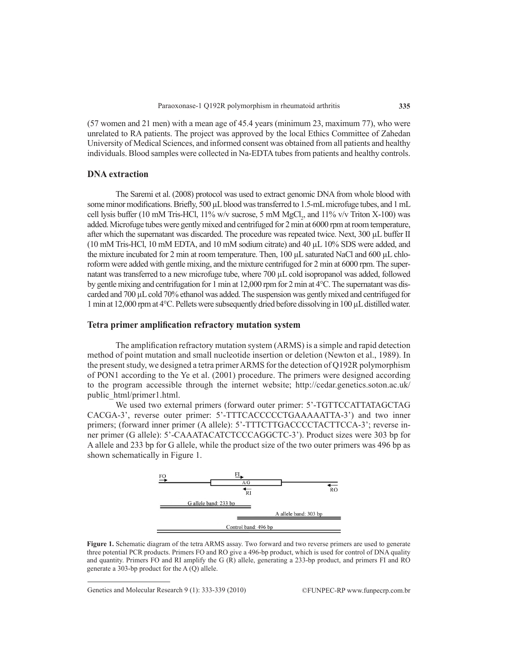(57 women and 21 men) with a mean age of 45.4 years (minimum 23, maximum 77), who were unrelated to RA patients. The project was approved by the local Ethics Committee of Zahedan University of Medical Sciences, and informed consent was obtained from all patients and healthy individuals. Blood samples were collected in Na-EDTA tubes from patients and healthy controls.

### **DNA extraction**

The Saremi et al. (2008) protocol was used to extract genomic DNA from whole blood with some minor modifications. Briefly, 500 µL blood was transferred to 1.5-mL microfuge tubes, and 1 mL cell lysis buffer (10 mM Tris-HCl, 11% w/v sucrose, 5 mM  $MgCl<sub>2</sub>$ , and 11% v/v Triton X-100) was added. Microfuge tubes were gently mixed and centrifuged for 2 min at 6000 rpm at room temperature, after which the supernatant was discarded. The procedure was repeated twice. Next, 300 µL buffer II (10 mM Tris-HCl, 10 mM EDTA, and 10 mM sodium citrate) and 40 µL 10% SDS were added, and the mixture incubated for 2 min at room temperature. Then, 100 µL saturated NaCl and 600 µL chloroform were added with gentle mixing, and the mixture centrifuged for 2 min at 6000 rpm. The supernatant was transferred to a new microfuge tube, where 700 µL cold isopropanol was added, followed by gentle mixing and centrifugation for 1 min at 12,000 rpm for 2 min at 4°C. The supernatant was discarded and 700 µL cold 70% ethanol was added. The suspension was gently mixed and centrifuged for 1 min at 12,000 rpm at 4°C. Pellets were subsequently dried before dissolving in 100 µL distilled water.

## **Tetra primer amplification refractory mutation system**

The amplification refractory mutation system (ARMS) is a simple and rapid detection method of point mutation and small nucleotide insertion or deletion (Newton et al., 1989). In the present study, we designed a tetra primer ARMS for the detection of Q192R polymorphism of PON1 according to the Ye et al. (2001) procedure. The primers were designed according to the program accessible through the internet website; http://cedar.genetics.soton.ac.uk/ public\_html/primer1.html.

We used two external primers (forward outer primer: 5'-TGTTCCATTATAGCTAG CACGA-3', reverse outer primer: 5'-TTTCACCCCCTGAAAAATTA-3') and two inner primers; (forward inner primer (A allele): 5'-TTTCTTGACCCCTACTTCCA-3'; reverse inner primer (G allele): 5'-CAAATACATCTCCCAGGCTC-3'). Product sizes were 303 bp for A allele and 233 bp for G allele, while the product size of the two outer primers was 496 bp as shown schematically in Figure 1.



**Figure 1.** Schematic diagram of the tetra ARMS assay. Two forward and two reverse primers are used to generate three potential PCR products. Primers FO and RO give a 496-bp product, which is used for control of DNA quality and quantity. Primers FO and RI amplify the G (R) allele, generating a 233-bp product, and primers FI and RO generate a 303-bp product for the A (Q) allele.

Genetics and Molecular Research 9 (1): 333-339 (2010) ©FUNPEC-RP www.funpecrp.com.br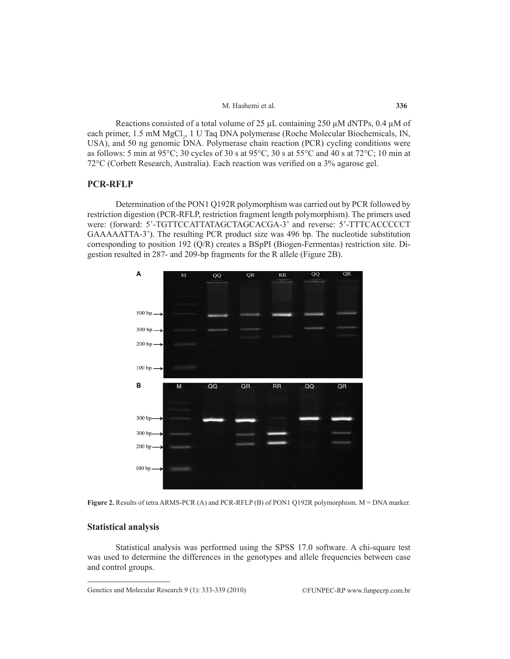Reactions consisted of a total volume of 25  $\mu$ L containing 250  $\mu$ M dNTPs, 0.4  $\mu$ M of each primer, 1.5 mM MgCl<sub>2</sub>, 1 U Taq DNA polymerase (Roche Molecular Biochemicals, IN, USA), and 50 ng genomic DNA. Polymerase chain reaction (PCR) cycling conditions were as follows: 5 min at 95°C; 30 cycles of 30 s at 95°C, 30 s at 55°C and 40 s at 72°C; 10 min at 72°C (Corbett Research, Australia). Each reaction was verified on a 3% agarose gel.

 $M<sub>1</sub>$ 

## **PCR-RFLP**

Determination of the PON1 Q192R polymorphism was carried out by PCR followed by restriction digestion (PCR-RFLP, restriction fragment length polymorphism). The primers used were: (forward: 5'-TGTTCCATTATAGCTAGCACGA-3' and reverse: 5'-TTTCACCCCCT GAAAAATTA-3'). The resulting PCR product size was 496 bp. The nucleotide substitution corresponding to position 192 (Q/R) creates a BSpPI (Biogen-Fermentas) restriction site. Digestion resulted in 287- and 209-bp fragments for the R allele (Figure 2B).





## **Statistical analysis**

Statistical analysis was performed using the SPSS 17.0 software. A chi-square test was used to determine the differences in the genotypes and allele frequencies between case and control groups.

Genetics and Molecular Research 9 (1): 333-339 (2010) ©FUNPEC-RP www.funpecrp.com.br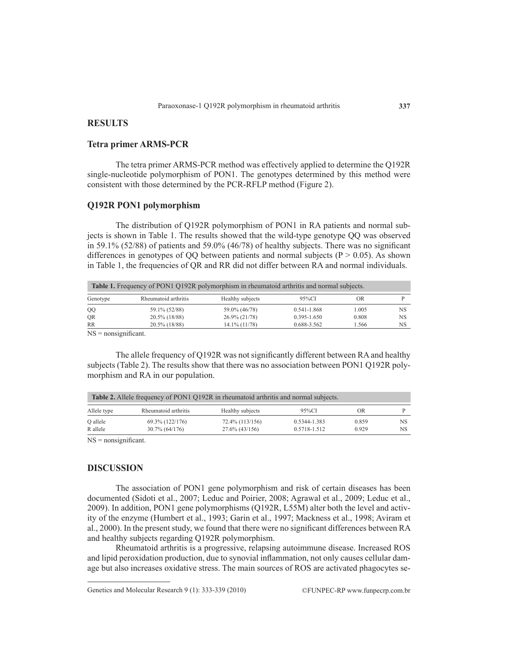# **RESULTS**

## **Tetra primer ARMS-PCR**

The tetra primer ARMS-PCR method was effectively applied to determine the Q192R single-nucleotide polymorphism of PON1. The genotypes determined by this method were consistent with those determined by the PCR-RFLP method (Figure 2).

## **Q192R PON1 polymorphism**

The distribution of Q192R polymorphism of PON1 in RA patients and normal subjects is shown in Table 1. The results showed that the wild-type genotype QQ was observed in 59.1% (52/88) of patients and 59.0% (46/78) of healthy subjects. There was no significant differences in genotypes of QQ between patients and normal subjects ( $P > 0.05$ ). As shown in Table 1, the frequencies of QR and RR did not differ between RA and normal individuals.

| <b>Table 1.</b> Frequency of PON1 Q192R polymorphism in rheumatoid arthritis and normal subjects. |                      |                  |                 |       |    |  |  |  |
|---------------------------------------------------------------------------------------------------|----------------------|------------------|-----------------|-------|----|--|--|--|
| Genotype                                                                                          | Rheumatoid arthritis | Healthy subjects | $95\%$ CI       | OR    |    |  |  |  |
| QQ                                                                                                | 59.1% (52/88)        | 59.0% (46/78)    | 0.541-1.868     | 1.005 | NS |  |  |  |
| <b>OR</b>                                                                                         | $20.5\%$ (18/88)     | $26.9\% (21/78)$ | $0.395 - 1.650$ | 0.808 | NS |  |  |  |
| RR                                                                                                | $20.5\%$ (18/88)     | 14.1% (11/78)    | 0.688-3.562     | 1.566 | NS |  |  |  |

NS = nonsignificant.

The allele frequency of Q192R was not significantly different between RA and healthy subjects (Table 2). The results show that there was no association between PON1 Q192R polymorphism and RA in our population.

| <b>Table 2.</b> Allele frequency of PON1 O192R in rheumatoid arthritis and normal subjects. |                      |                   |              |       |     |  |  |  |
|---------------------------------------------------------------------------------------------|----------------------|-------------------|--------------|-------|-----|--|--|--|
| Allele type                                                                                 | Rheumatoid arthritis | Healthy subjects  | 95%CI        | OR    |     |  |  |  |
| O allele                                                                                    | 69.3% (122/176)      | 72.4% (113/156)   | 0.5344-1.383 | 0.859 | NS. |  |  |  |
| R allele                                                                                    | 30.7% (64/176)       | $27.6\%$ (43/156) | 0.5718-1.512 | 0.929 | NS. |  |  |  |

NS = nonsignificant.

## **DISCUSSION**

The association of PON1 gene polymorphism and risk of certain diseases has been documented (Sidoti et al., 2007; Leduc and Poirier, 2008; Agrawal et al., 2009; Leduc et al., 2009). In addition, PON1 gene polymorphisms (Q192R, L55M) alter both the level and activity of the enzyme (Humbert et al., 1993; Garin et al., 1997; Mackness et al., 1998; Aviram et al., 2000). In the present study, we found that there were no significant differences between RA and healthy subjects regarding Q192R polymorphism.

Rheumatoid arthritis is a progressive, relapsing autoimmune disease. Increased ROS and lipid peroxidation production, due to synovial inflammation, not only causes cellular damage but also increases oxidative stress. The main sources of ROS are activated phagocytes se-

Genetics and Molecular Research 9 (1): 333-339 (2010) ©FUNPEC-RP www.funpecrp.com.br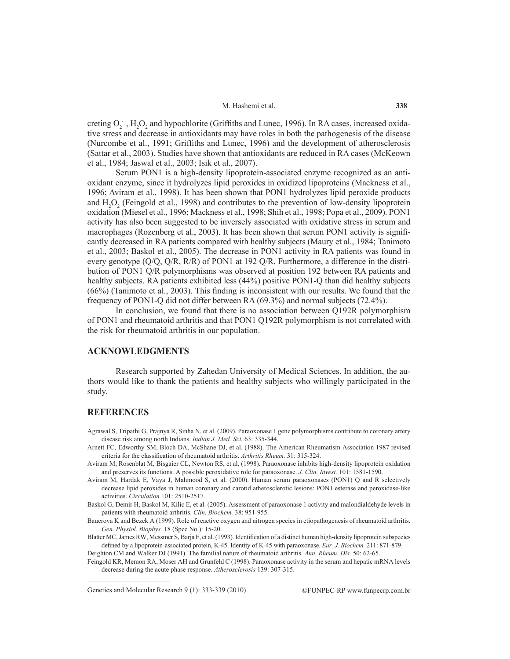#### M. Hashemi et al.

creting  $O_2$ ,  $H_2O_2$  and hypochlorite (Griffiths and Lunec, 1996). In RA cases, increased oxidative stress and decrease in antioxidants may have roles in both the pathogenesis of the disease (Nurcombe et al., 1991; Griffiths and Lunec, 1996) and the development of atherosclerosis (Sattar et al., 2003). Studies have shown that antioxidants are reduced in RA cases (McKeown et al., 1984; Jaswal et al., 2003; Isik et al., 2007).

Serum PON1 is a high-density lipoprotein-associated enzyme recognized as an antioxidant enzyme, since it hydrolyzes lipid peroxides in oxidized lipoproteins (Mackness et al., 1996; Aviram et al., 1998). It has been shown that PON1 hydrolyzes lipid peroxide products and  $H_2O_2$  (Feingold et al., 1998) and contributes to the prevention of low-density lipoprotein oxidation (Miesel et al., 1996; Mackness et al., 1998; Shih et al., 1998; Popa et al., 2009). PON1 activity has also been suggested to be inversely associated with oxidative stress in serum and macrophages (Rozenberg et al., 2003). It has been shown that serum PON1 activity is significantly decreased in RA patients compared with healthy subjects (Maury et al., 1984; Tanimoto et al., 2003; Baskol et al., 2005). The decrease in PON1 activity in RA patients was found in every genotype (Q/Q, Q/R, R/R) of PON1 at 192 Q/R. Furthermore, a difference in the distribution of PON1 Q/R polymorphisms was observed at position 192 between RA patients and healthy subjects. RA patients exhibited less (44%) positive PON1-Q than did healthy subjects (66%) (Tanimoto et al., 2003). This finding is inconsistent with our results. We found that the frequency of PON1-Q did not differ between RA (69.3%) and normal subjects (72.4%).

In conclusion, we found that there is no association between Q192R polymorphism of PON1 and rheumatoid arthritis and that PON1 Q192R polymorphism is not correlated with the risk for rheumatoid arthritis in our population.

#### **ACKNOWLEDGMENTS**

Research supported by Zahedan University of Medical Sciences. In addition, the authors would like to thank the patients and healthy subjects who willingly participated in the study.

# **REFERENCES**

- Agrawal S, Tripathi G, Prajnya R, Sinha N, et al. (2009). Paraoxonase 1 gene polymorphisms contribute to coronary artery disease risk among north Indians. *Indian J. Med. Sci.* 63: 335-344.
- Arnett FC, Edworthy SM, Bloch DA, McShane DJ, et al. (1988). The American Rheumatism Association 1987 revised criteria for the classification of rheumatoid arthritis. *Arthritis Rheum.* 31: 315-324.
- Aviram M, Rosenblat M, Bisgaier CL, Newton RS, et al. (1998). Paraoxonase inhibits high-density lipoprotein oxidation and preserves its functions. A possible peroxidative role for paraoxonase. *J. Clin. Invest.* 101: 1581-1590.
- Aviram M, Hardak E, Vaya J, Mahmood S, et al. (2000). Human serum paraoxonases (PON1) Q and R selectively decrease lipid peroxides in human coronary and carotid atherosclerotic lesions: PON1 esterase and peroxidase-like activities. *Circulation* 101: 2510-2517.
- Baskol G, Demir H, Baskol M, Kilic E, et al. (2005). Assessment of paraoxonase 1 activity and malondialdehyde levels in patients with rheumatoid arthritis. *Clin. Biochem.* 38: 951-955.
- Bauerova K and Bezek A (1999). Role of reactive oxygen and nitrogen species in etiopathogenesis of rheumatoid arthritis. *Gen. Physiol. Biophys.* 18 (Spec No.): 15-20.
- Blatter MC, James RW, Messmer S, Barja F, et al. (1993). Identification of a distinct human high-density lipoprotein subspecies defined by a lipoprotein-associated protein, K-45. Identity of K-45 with paraoxonase. *Eur. J. Biochem.* 211: 871-879. Deighton CM and Walker DJ (1991). The familial nature of rheumatoid arthritis. *Ann. Rheum. Dis.* 50: 62-65.
- Feingold KR, Memon RA, Moser AH and Grunfeld C (1998). Paraoxonase activity in the serum and hepatic mRNA levels decrease during the acute phase response. *Atherosclerosis* 139: 307-315.

Genetics and Molecular Research 9 (1): 333-339 (2010) ©FUNPEC-RP www.funpecrp.com.br